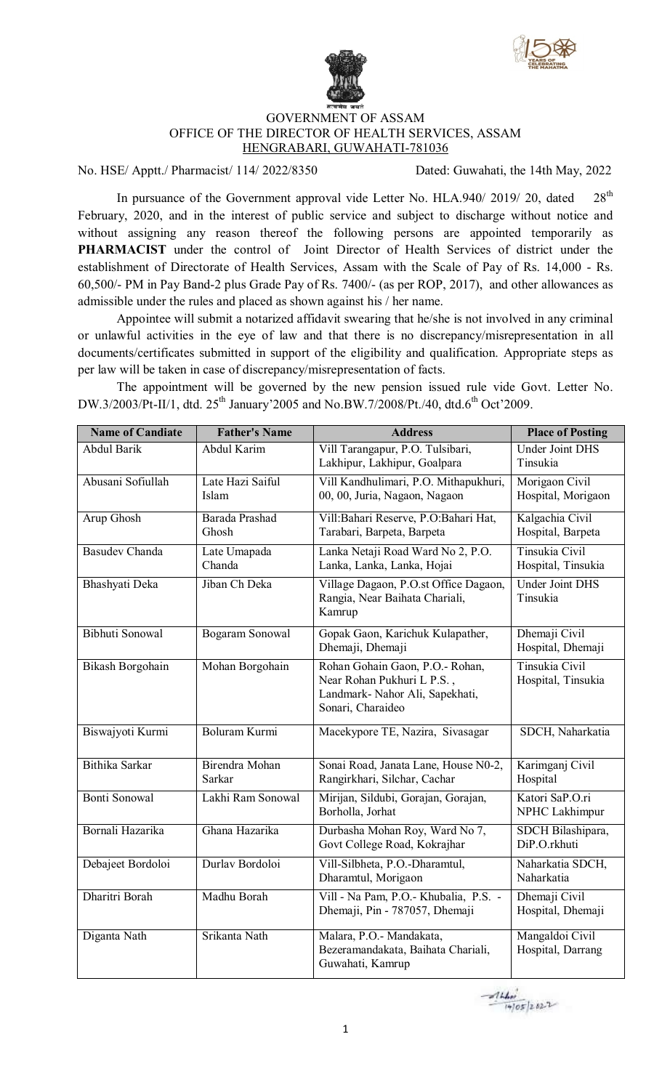



## GOVERNMENT OF ASSAM OFFICE OF THE DIRECTOR OF HEALTH SERVICES, ASSAM HENGRABARI, GUWAHATI-781036

No. HSE/ Apptt./ Pharmacist/ 114/ 2022/8350 Dated: Guwahati, the 14th May, 2022

In pursuance of the Government approval vide Letter No. HLA.940/ 2019/ 20, dated 28<sup>th</sup> February, 2020, and in the interest of public service and subject to discharge without notice and without assigning any reason thereof the following persons are appointed temporarily as **PHARMACIST** under the control of Joint Director of Health Services of district under the establishment of Directorate of Health Services, Assam with the Scale of Pay of Rs. 14,000 - Rs. 60,500/- PM in Pay Band-2 plus Grade Pay of Rs. 7400/- (as per ROP, 2017), and other allowances as admissible under the rules and placed as shown against his / her name.

Appointee will submit a notarized affidavit swearing that he/she is not involved in any criminal or unlawful activities in the eye of law and that there is no discrepancy/misrepresentation in all documents/certificates submitted in support of the eligibility and qualification. Appropriate steps as per law will be taken in case of discrepancy/misrepresentation of facts.

The appointment will be governed by the new pension issued rule vide Govt. Letter No. DW.3/2003/Pt-II/1, dtd. 25<sup>th</sup> January'2005 and No.BW.7/2008/Pt./40, dtd.6<sup>th</sup> Oct'2009.

| <b>Name of Candiate</b> | <b>Father's Name</b>      | <b>Address</b>                                                                                                        | <b>Place of Posting</b>              |
|-------------------------|---------------------------|-----------------------------------------------------------------------------------------------------------------------|--------------------------------------|
| <b>Abdul Barik</b>      | Abdul Karim               | Vill Tarangapur, P.O. Tulsibari,<br>Lakhipur, Lakhipur, Goalpara                                                      | <b>Under Joint DHS</b><br>Tinsukia   |
| Abusani Sofiullah       | Late Hazi Saiful<br>Islam | Vill Kandhulimari, P.O. Mithapukhuri,<br>00, 00, Juria, Nagaon, Nagaon                                                | Morigaon Civil<br>Hospital, Morigaon |
| Arup Ghosh              | Barada Prashad<br>Ghosh   | Vill: Bahari Reserve, P.O: Bahari Hat,<br>Tarabari, Barpeta, Barpeta                                                  | Kalgachia Civil<br>Hospital, Barpeta |
| <b>Basudev Chanda</b>   | Late Umapada<br>Chanda    | Lanka Netaji Road Ward No 2, P.O.<br>Lanka, Lanka, Lanka, Hojai                                                       | Tinsukia Civil<br>Hospital, Tinsukia |
| Bhashyati Deka          | Jiban Ch Deka             | Village Dagaon, P.O.st Office Dagaon,<br>Rangia, Near Baihata Chariali,<br>Kamrup                                     | <b>Under Joint DHS</b><br>Tinsukia   |
| Bibhuti Sonowal         | Bogaram Sonowal           | Gopak Gaon, Karichuk Kulapather,<br>Dhemaji, Dhemaji                                                                  | Dhemaji Civil<br>Hospital, Dhemaji   |
| Bikash Borgohain        | Mohan Borgohain           | Rohan Gohain Gaon, P.O.- Rohan,<br>Near Rohan Pukhuri L P.S.,<br>Landmark- Nahor Ali, Sapekhati,<br>Sonari, Charaideo | Tinsukia Civil<br>Hospital, Tinsukia |
| Biswajyoti Kurmi        | Boluram Kurmi             | Macekypore TE, Nazira, Sivasagar                                                                                      | SDCH, Naharkatia                     |
| Bithika Sarkar          | Birendra Mohan<br>Sarkar  | Sonai Road, Janata Lane, House N0-2,<br>Rangirkhari, Silchar, Cachar                                                  | Karimganj Civil<br>Hospital          |
| <b>Bonti Sonowal</b>    | Lakhi Ram Sonowal         | Mirijan, Sildubi, Gorajan, Gorajan,<br>Borholla, Jorhat                                                               | Katori SaP.O.ri<br>NPHC Lakhimpur    |
| Bornali Hazarika        | Ghana Hazarika            | Durbasha Mohan Roy, Ward No 7,<br>Govt College Road, Kokrajhar                                                        | SDCH Bilashipara,<br>DiP.O.rkhuti    |
| Debajeet Bordoloi       | Durlav Bordoloi           | Vill-Silbheta, P.O.-Dharamtul,<br>Dharamtul, Morigaon                                                                 | Naharkatia SDCH,<br>Naharkatia       |
| Dharitri Borah          | Madhu Borah               | Vill - Na Pam, P.O.- Khubalia, P.S. -<br>Dhemaji, Pin - 787057, Dhemaji                                               | Dhemaji Civil<br>Hospital, Dhemaji   |
| Diganta Nath            | Srikanta Nath             | Malara, P.O.- Mandakata,<br>Bezeramandakata, Baihata Chariali,<br>Guwahati, Kamrup                                    | Mangaldoi Civil<br>Hospital, Darrang |

 $214$  $14/05/2822$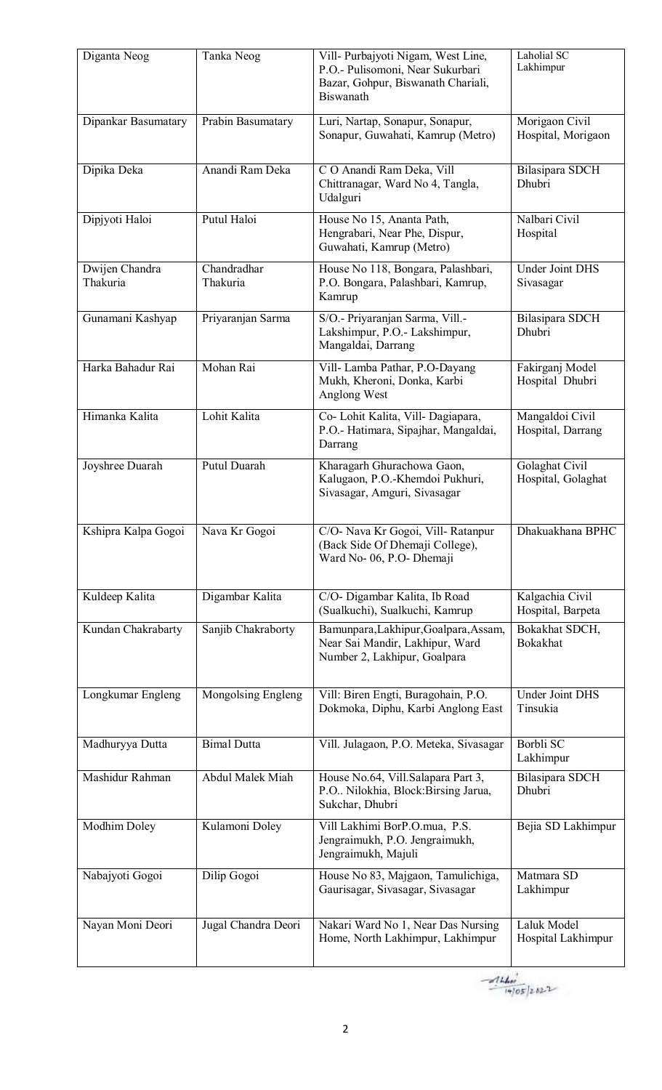| Diganta Neog               | Tanka Neog              | Vill- Purbajyoti Nigam, West Line,<br>P.O.- Pulisomoni, Near Sukurbari<br>Bazar, Gohpur, Biswanath Chariali,<br>Biswanath | Laholial SC<br>Lakhimpur             |
|----------------------------|-------------------------|---------------------------------------------------------------------------------------------------------------------------|--------------------------------------|
| Dipankar Basumatary        | Prabin Basumatary       | Luri, Nartap, Sonapur, Sonapur,<br>Sonapur, Guwahati, Kamrup (Metro)                                                      | Morigaon Civil<br>Hospital, Morigaon |
| Dipika Deka                | Anandi Ram Deka         | C O Anandi Ram Deka, Vill<br>Chittranagar, Ward No 4, Tangla,<br>Udalguri                                                 | Bilasipara SDCH<br>Dhubri            |
| Dipjyoti Haloi             | Putul Haloi             | House No 15, Ananta Path,<br>Hengrabari, Near Phe, Dispur,<br>Guwahati, Kamrup (Metro)                                    | Nalbari Civil<br>Hospital            |
| Dwijen Chandra<br>Thakuria | Chandradhar<br>Thakuria | House No 118, Bongara, Palashbari,<br>P.O. Bongara, Palashbari, Kamrup,<br>Kamrup                                         | <b>Under Joint DHS</b><br>Sivasagar  |
| Gunamani Kashyap           | Priyaranjan Sarma       | S/O.- Priyaranjan Sarma, Vill.-<br>Lakshimpur, P.O.- Lakshimpur,<br>Mangaldai, Darrang                                    | <b>Bilasipara SDCH</b><br>Dhubri     |
| Harka Bahadur Rai          | Mohan Rai               | Vill- Lamba Pathar, P.O-Dayang<br>Mukh, Kheroni, Donka, Karbi<br>Anglong West                                             | Fakirganj Model<br>Hospital Dhubri   |
| Himanka Kalita             | Lohit Kalita            | Co- Lohit Kalita, Vill- Dagiapara,<br>P.O.- Hatimara, Sipajhar, Mangaldai,<br>Darrang                                     | Mangaldoi Civil<br>Hospital, Darrang |
| Joyshree Duarah            | <b>Putul Duarah</b>     | Kharagarh Ghurachowa Gaon,<br>Kalugaon, P.O.-Khemdoi Pukhuri,<br>Sivasagar, Amguri, Sivasagar                             | Golaghat Civil<br>Hospital, Golaghat |
| Kshipra Kalpa Gogoi        | Nava Kr Gogoi           | C/O- Nava Kr Gogoi, Vill-Ratanpur<br>(Back Side Of Dhemaji College),<br>Ward No-06, P.O- Dhemaji                          | Dhakuakhana BPHC                     |
| Kuldeep Kalita             | Digambar Kalita         | C/O- Digambar Kalita, Ib Road<br>(Sualkuchi), Sualkuchi, Kamrup                                                           | Kalgachia Civil<br>Hospital, Barpeta |
| Kundan Chakrabarty         | Sanjib Chakraborty      | Bamunpara, Lakhipur, Goalpara, Assam,<br>Near Sai Mandir, Lakhipur, Ward<br>Number 2, Lakhipur, Goalpara                  | Bokakhat SDCH,<br><b>Bokakhat</b>    |
| Longkumar Engleng          | Mongolsing Engleng      | Vill: Biren Engti, Buragohain, P.O.<br>Dokmoka, Diphu, Karbi Anglong East                                                 | <b>Under Joint DHS</b><br>Tinsukia   |
| Madhuryya Dutta            | <b>Bimal Dutta</b>      | Vill. Julagaon, P.O. Meteka, Sivasagar                                                                                    | Borbli SC<br>Lakhimpur               |
| Mashidur Rahman            | <b>Abdul Malek Miah</b> | House No.64, Vill.Salapara Part 3,<br>P.O Nilokhia, Block:Birsing Jarua,<br>Sukchar, Dhubri                               | <b>Bilasipara SDCH</b><br>Dhubri     |
| Modhim Doley               | Kulamoni Doley          | Vill Lakhimi BorP.O.mua, P.S.<br>Jengraimukh, P.O. Jengraimukh,<br>Jengraimukh, Majuli                                    | Bejia SD Lakhimpur                   |
| Nabajyoti Gogoi            | Dilip Gogoi             | House No 83, Majgaon, Tamulichiga,<br>Gaurisagar, Sivasagar, Sivasagar                                                    | Matmara SD<br>Lakhimpur              |
| Nayan Moni Deori           | Jugal Chandra Deori     | Nakari Ward No 1, Near Das Nursing<br>Home, North Lakhimpur, Lakhimpur                                                    | Laluk Model<br>Hospital Lakhimpur    |

 $-414...$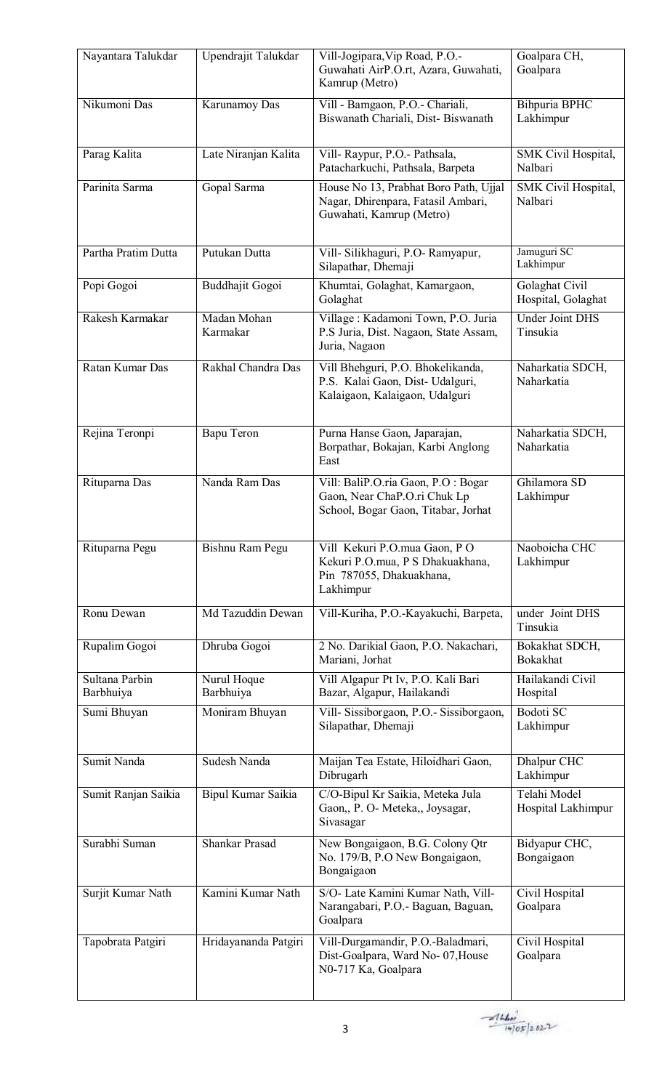| Nayantara Talukdar          | Upendrajit Talukdar      | Vill-Jogipara, Vip Road, P.O.-<br>Guwahati AirP.O.rt, Azara, Guwahati,<br>Kamrup (Metro)                   | Goalpara CH,<br>Goalpara             |
|-----------------------------|--------------------------|------------------------------------------------------------------------------------------------------------|--------------------------------------|
| Nikumoni Das                | Karunamoy Das            | Vill - Bamgaon, P.O.- Chariali,<br>Biswanath Chariali, Dist-Biswanath                                      | Bihpuria BPHC<br>Lakhimpur           |
| Parag Kalita                | Late Niranjan Kalita     | Vill-Raypur, P.O.- Pathsala,<br>Patacharkuchi, Pathsala, Barpeta                                           | SMK Civil Hospital,<br>Nalbari       |
| Parinita Sarma              | Gopal Sarma              | House No 13, Prabhat Boro Path, Ujjal<br>Nagar, Dhirenpara, Fatasil Ambari,<br>Guwahati, Kamrup (Metro)    | SMK Civil Hospital,<br>Nalbari       |
| Partha Pratim Dutta         | Putukan Dutta            | Vill- Silikhaguri, P.O- Ramyapur,<br>Silapathar, Dhemaji                                                   | Jamuguri SC<br>Lakhimpur             |
| Popi Gogoi                  | Buddhajit Gogoi          | Khumtai, Golaghat, Kamargaon,<br>Golaghat                                                                  | Golaghat Civil<br>Hospital, Golaghat |
| Rakesh Karmakar             | Madan Mohan<br>Karmakar  | Village: Kadamoni Town, P.O. Juria<br>P.S Juria, Dist. Nagaon, State Assam,<br>Juria, Nagaon               | <b>Under Joint DHS</b><br>Tinsukia   |
| Ratan Kumar Das             | Rakhal Chandra Das       | Vill Bhehguri, P.O. Bhokelikanda,<br>P.S. Kalai Gaon, Dist- Udalguri,<br>Kalaigaon, Kalaigaon, Udalguri    | Naharkatia SDCH,<br>Naharkatia       |
| Rejina Teronpi              | Bapu Teron               | Purna Hanse Gaon, Japarajan,<br>Borpathar, Bokajan, Karbi Anglong<br>East                                  | Naharkatia SDCH,<br>Naharkatia       |
| Rituparna Das               | Nanda Ram Das            | Vill: BaliP.O.ria Gaon, P.O: Bogar<br>Gaon, Near ChaP.O.ri Chuk Lp<br>School, Bogar Gaon, Titabar, Jorhat  | Ghilamora SD<br>Lakhimpur            |
| Rituparna Pegu              | Bishnu Ram Pegu          | Vill Kekuri P.O.mua Gaon, P O<br>Kekuri P.O.mua, P S Dhakuakhana,<br>Pin 787055, Dhakuakhana,<br>Lakhimpur | Naoboicha CHC<br>Lakhimpur           |
| Ronu Dewan                  | Md Tazuddin Dewan        | Vill-Kuriha, P.O.-Kayakuchi, Barpeta,                                                                      | under Joint DHS<br>Tinsukia          |
| Rupalim Gogoi               | Dhruba Gogoi             | 2 No. Darikial Gaon, P.O. Nakachari,<br>Mariani, Jorhat                                                    | Bokakhat SDCH,<br><b>Bokakhat</b>    |
| Sultana Parbin<br>Barbhuiya | Nurul Hoque<br>Barbhuiya | Vill Algapur Pt Iv, P.O. Kali Bari<br>Bazar, Algapur, Hailakandi                                           | Hailakandi Civil<br>Hospital         |
| Sumi Bhuyan                 | Moniram Bhuyan           | Vill-Sissiborgaon, P.O.- Sissiborgaon,<br>Silapathar, Dhemaji                                              | Bodoti SC<br>Lakhimpur               |
| Sumit Nanda                 | Sudesh Nanda             | Maijan Tea Estate, Hiloidhari Gaon,<br>Dibrugarh                                                           | Dhalpur CHC<br>Lakhimpur             |
| Sumit Ranjan Saikia         | Bipul Kumar Saikia       | C/O-Bipul Kr Saikia, Meteka Jula<br>Gaon, P. O- Meteka,, Joysagar,<br>Sivasagar                            | Telahi Model<br>Hospital Lakhimpur   |
| Surabhi Suman               | <b>Shankar Prasad</b>    | New Bongaigaon, B.G. Colony Qtr<br>No. 179/B, P.O New Bongaigaon,<br>Bongaigaon                            | Bidyapur CHC,<br>Bongaigaon          |
| Surjit Kumar Nath           | Kamini Kumar Nath        | S/O- Late Kamini Kumar Nath, Vill-<br>Narangabari, P.O.- Baguan, Baguan,<br>Goalpara                       | Civil Hospital<br>Goalpara           |
| Tapobrata Patgiri           | Hridayananda Patgiri     | Vill-Durgamandir, P.O.-Baladmari,<br>Dist-Goalpara, Ward No- 07, House<br>N0-717 Ka, Goalpara              | Civil Hospital<br>Goalpara           |

 $-444$